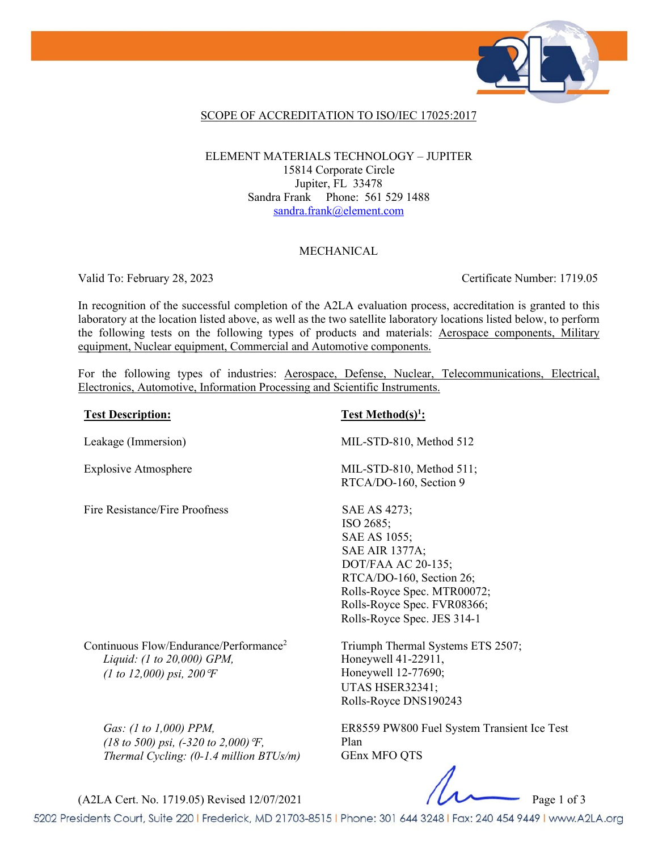

### SCOPE OF ACCREDITATION TO ISO/IEC 17025:2017

### ELEMENT MATERIALS TECHNOLOGY – JUPITER 15814 Corporate Circle Jupiter, FL 33478 Sandra Frank Phone: 561 529 1488 [sandra.frank@element.com](mailto:sandra.frank@element.com)

### MECHANICAL

Valid To: February 28, 2023 Certificate Number: 1719.05

In recognition of the successful completion of the A2LA evaluation process, accreditation is granted to this laboratory at the location listed above, as well as the two satellite laboratory locations listed below, to perform the following tests on the following types of products and materials: Aerospace components, Military equipment, Nuclear equipment, Commercial and Automotive components.

For the following types of industries: Aerospace, Defense, Nuclear, Telecommunications, Electrical, Electronics, Automotive, Information Processing and Scientific Instruments.

| <b>Test Description:</b>                                                                                               | <b>Test Method(s)<sup>1</sup></b> :                                                                                                                                                                               |
|------------------------------------------------------------------------------------------------------------------------|-------------------------------------------------------------------------------------------------------------------------------------------------------------------------------------------------------------------|
| Leakage (Immersion)                                                                                                    | MIL-STD-810, Method 512                                                                                                                                                                                           |
| <b>Explosive Atmosphere</b>                                                                                            | MIL-STD-810, Method 511;<br>RTCA/DO-160, Section 9                                                                                                                                                                |
| Fire Resistance/Fire Proofness                                                                                         | SAE AS 4273;<br>ISO 2685;<br>SAE AS 1055;<br><b>SAE AIR 1377A;</b><br>DOT/FAA AC 20-135;<br>RTCA/DO-160, Section 26;<br>Rolls-Royce Spec. MTR00072;<br>Rolls-Royce Spec. FVR08366;<br>Rolls-Royce Spec. JES 314-1 |
| Continuous Flow/Endurance/Performance <sup>2</sup><br>Liquid: (1 to 20,000) GPM,<br>(1 to 12,000) psi, 200 $F$         | Triumph Thermal Systems ETS 2507;<br>Honeywell 41-22911,<br>Honeywell 12-77690;<br>UTAS HSER32341;<br>Rolls-Royce DNS190243                                                                                       |
| Gas: (1 to 1,000) PPM,<br>(18 to 500) psi, $(-320 \text{ to } 2,000)$ °F,<br>Thermal Cycling: $(0-1.4$ million BTUs/m) | ER8559 PW800 Fuel System Transient Ice Test<br>Plan<br><b>GEnx MFO QTS</b>                                                                                                                                        |

(A2LA Cert. No. 1719.05) Revised 12/07/2021 Page 1 of 3

5202 Presidents Court, Suite 220 | Frederick, MD 21703-8515 | Phone: 301 644 3248 | Fax: 240 454 9449 | www.A2LA.org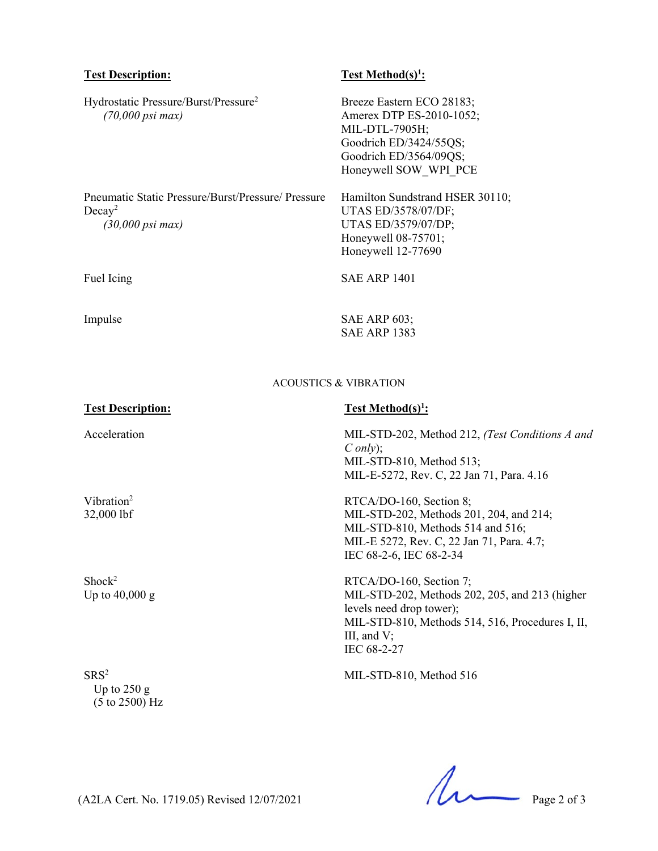| <b>Test Description:</b>                                                                      | <u>Test Method(s)<sup>1</sup>:</u>                                                                                                                                                         |
|-----------------------------------------------------------------------------------------------|--------------------------------------------------------------------------------------------------------------------------------------------------------------------------------------------|
| Hydrostatic Pressure/Burst/Pressure <sup>2</sup><br>$(70,000 \text{ psi max})$                | Breeze Eastern ECO 28183;<br>Amerex DTP ES-2010-1052;<br>MIL-DTL-7905H;<br>Goodrich ED/3424/55QS;<br>Goodrich ED/3564/09QS;<br>Honeywell SOW WPI PCE                                       |
| Pneumatic Static Pressure/Burst/Pressure/ Pressure<br>$Decay^2$<br>$(30,000 \text{ psi max})$ | Hamilton Sundstrand HSER 30110;<br>UTAS ED/3578/07/DF;<br>UTAS ED/3579/07/DP;<br>Honeywell 08-75701;<br>Honeywell 12-77690                                                                 |
| Fuel Icing                                                                                    | <b>SAE ARP 1401</b>                                                                                                                                                                        |
| Impulse                                                                                       | <b>SAE ARP 603;</b><br><b>SAE ARP 1383</b>                                                                                                                                                 |
| <b>ACOUSTICS &amp; VIBRATION</b>                                                              |                                                                                                                                                                                            |
| <b>Test Description:</b>                                                                      | <u>Test Method(s)<sup>1</sup>:</u>                                                                                                                                                         |
| Acceleration                                                                                  | MIL-STD-202, Method 212, (Test Conditions A and<br>Conly);<br>MIL-STD-810, Method 513;<br>MIL-E-5272, Rev. C, 22 Jan 71, Para. 4.16                                                        |
| Vibration <sup>2</sup><br>32,000 lbf                                                          | RTCA/DO-160, Section 8;<br>MIL-STD-202, Methods 201, 204, and 214;<br>MIL-STD-810, Methods 514 and 516;<br>MIL-E 5272, Rev. C, 22 Jan 71, Para. 4.7;<br>IEC 68-2-6, IEC 68-2-34            |
| Shock <sup>2</sup><br>Up to $40,000$ g                                                        | RTCA/DO-160, Section 7;<br>MIL-STD-202, Methods 202, 205, and 213 (higher<br>levels need drop tower);<br>MIL-STD-810, Methods 514, 516, Procedures I, II,<br>III, and $V$ ;<br>IEC 68-2-27 |
| SRS <sup>2</sup><br>Up to $250 g$<br>$(5 \text{ to } 2500) \text{ Hz}$                        | MIL-STD-810, Method 516                                                                                                                                                                    |

(A2LA Cert. No. 1719.05) Revised 12/07/2021 Page 2 of 3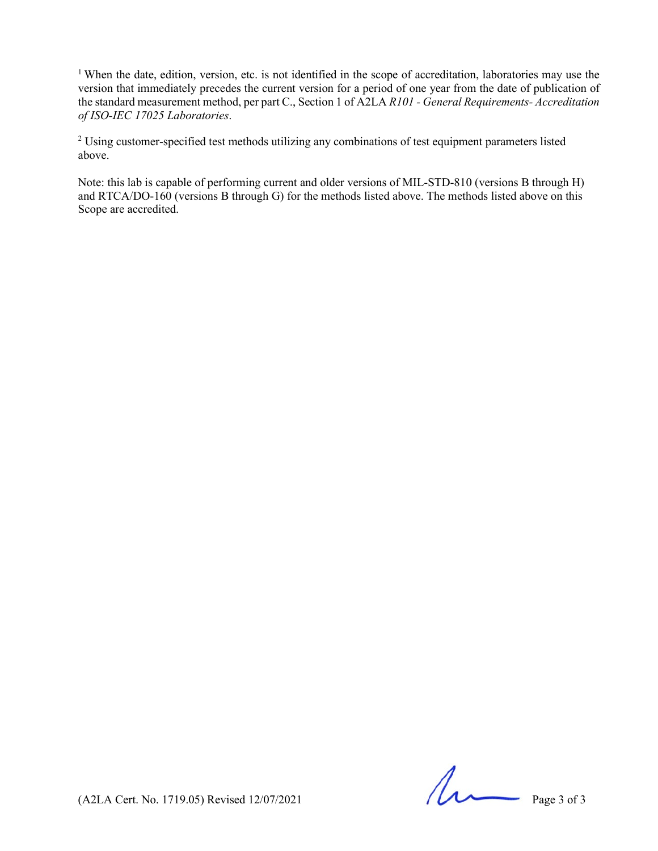<sup>1</sup> When the date, edition, version, etc. is not identified in the scope of accreditation, laboratories may use the version that immediately precedes the current version for a period of one year from the date of publication of the standard measurement method, per part C., Section 1 of A2LA *R101 - General Requirements- Accreditation of ISO-IEC 17025 Laboratories*.

<sup>2</sup> Using customer-specified test methods utilizing any combinations of test equipment parameters listed above.

Note: this lab is capable of performing current and older versions of MIL-STD-810 (versions B through H) and RTCA/DO-160 (versions B through G) for the methods listed above. The methods listed above on this Scope are accredited.

 $(A2LA$  Cert. No. 1719.05) Revised 12/07/2021